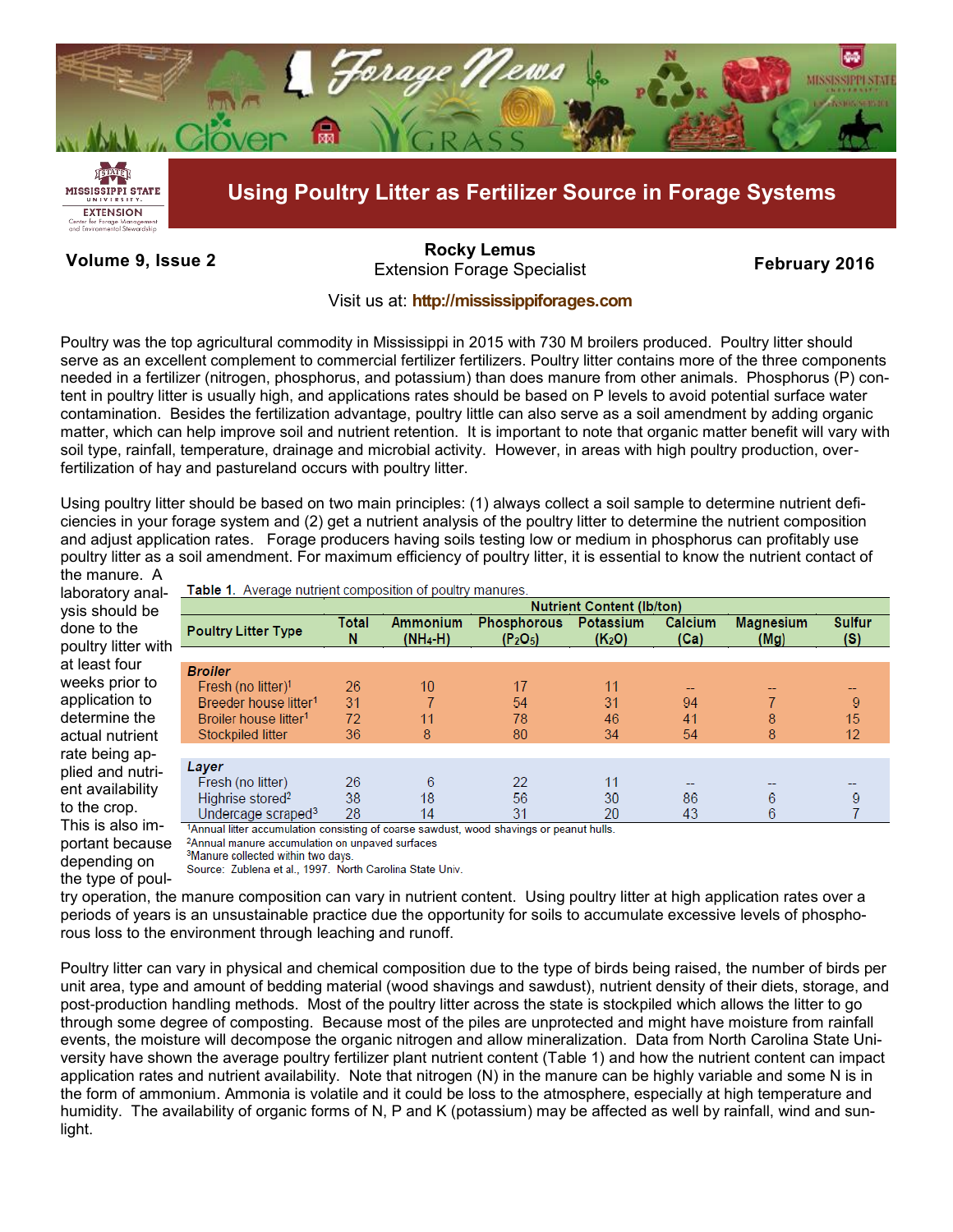

# **Volume 9, Issue 2 February 2016** Extension Forage Specialist **[Rocky Lemus](mailto:RLemus@ext.msstate.edu?subject=Forage%20News:%20Janaury%202011)**

## Visit us at: **<http://mississippiforages.com>**

Poultry was the top agricultural commodity in Mississippi in 2015 with 730 M broilers produced. Poultry litter should serve as an excellent complement to commercial fertilizer fertilizers. Poultry litter contains more of the three components needed in a fertilizer (nitrogen, phosphorus, and potassium) than does manure from other animals. Phosphorus (P) content in poultry litter is usually high, and applications rates should be based on P levels to avoid potential surface water contamination. Besides the fertilization advantage, poultry little can also serve as a soil amendment by adding organic matter, which can help improve soil and nutrient retention. It is important to note that organic matter benefit will vary with soil type, rainfall, temperature, drainage and microbial activity. However, in areas with high poultry production, overfertilization of hay and pastureland occurs with poultry litter.

Using poultry litter should be based on two main principles: (1) always collect a soil sample to determine nutrient deficiencies in your forage system and (2) get a nutrient analysis of the poultry litter to determine the nutrient composition and adjust application rates. Forage producers having soils testing low or medium in phosphorus can profitably use poultry litter as a soil amendment. For maximum efficiency of poultry litter, it is essential to know the nutrient contact of

the manure. A laboratory analysis should be done to the poultry litter with at least four weeks prior to application to determine the actual nutrient rate being applied and nutrient availability to the crop. This is also important because depending on the type of poul-

Table 1. Average nutrient composition of poultry manures.

| <b>Nutrient Content (Ib/ton)</b> |                               |                                                        |                                 |                 |                                                                                                     |                      |
|----------------------------------|-------------------------------|--------------------------------------------------------|---------------------------------|-----------------|-----------------------------------------------------------------------------------------------------|----------------------|
| Total<br>N                       | <b>Ammonium</b><br>$(NH_4-H)$ | <b>Phosphorous</b><br>(P <sub>2</sub> O <sub>5</sub> ) | Potassium<br>(K <sub>2</sub> O) | Calcium<br>(Ca) | <b>Magnesium</b><br>(Mg)                                                                            | <b>Sulfur</b><br>(S) |
|                                  |                               |                                                        |                                 |                 |                                                                                                     |                      |
| 26                               | 10                            | 17                                                     | 11                              |                 |                                                                                                     |                      |
| 31                               |                               | 54                                                     | 31                              | 94              |                                                                                                     | 9                    |
| 72                               | 11                            | 78                                                     | 46                              | 41              | 8                                                                                                   | 15                   |
| 36                               | 8                             | 80                                                     | 34                              |                 | 8                                                                                                   | 12                   |
|                                  |                               |                                                        |                                 |                 |                                                                                                     |                      |
|                                  |                               |                                                        |                                 |                 |                                                                                                     |                      |
|                                  |                               |                                                        |                                 |                 | 6                                                                                                   |                      |
| 28                               | 14                            | 31                                                     | 20                              | 43              | 6                                                                                                   |                      |
|                                  | 26<br>38                      | 6<br>18                                                | 22<br>56                        | 11<br>30        | 54<br>86<br>Appual littor accumulation consisting of coarse soudust, wood shovings or poaput bulls. |                      |

Annual litter accumulation consisting of coarse sawdust, wood shavings or peanut hulls.

<sup>2</sup>Annual manure accumulation on unpaved surfaces

<sup>3</sup>Manure collected within two days.

Source: Zublena et al., 1997. North Carolina State Univ.

try operation, the manure composition can vary in nutrient content. Using poultry litter at high application rates over a periods of years is an unsustainable practice due the opportunity for soils to accumulate excessive levels of phosphorous loss to the environment through leaching and runoff.

Poultry litter can vary in physical and chemical composition due to the type of birds being raised, the number of birds per unit area, type and amount of bedding material (wood shavings and sawdust), nutrient density of their diets, storage, and post-production handling methods. Most of the poultry litter across the state is stockpiled which allows the litter to go through some degree of composting. Because most of the piles are unprotected and might have moisture from rainfall events, the moisture will decompose the organic nitrogen and allow mineralization. Data from North Carolina State University have shown the average poultry fertilizer plant nutrient content (Table 1) and how the nutrient content can impact application rates and nutrient availability. Note that nitrogen (N) in the manure can be highly variable and some N is in the form of ammonium. Ammonia is volatile and it could be loss to the atmosphere, especially at high temperature and humidity. The availability of organic forms of N, P and K (potassium) may be affected as well by rainfall, wind and sunlight.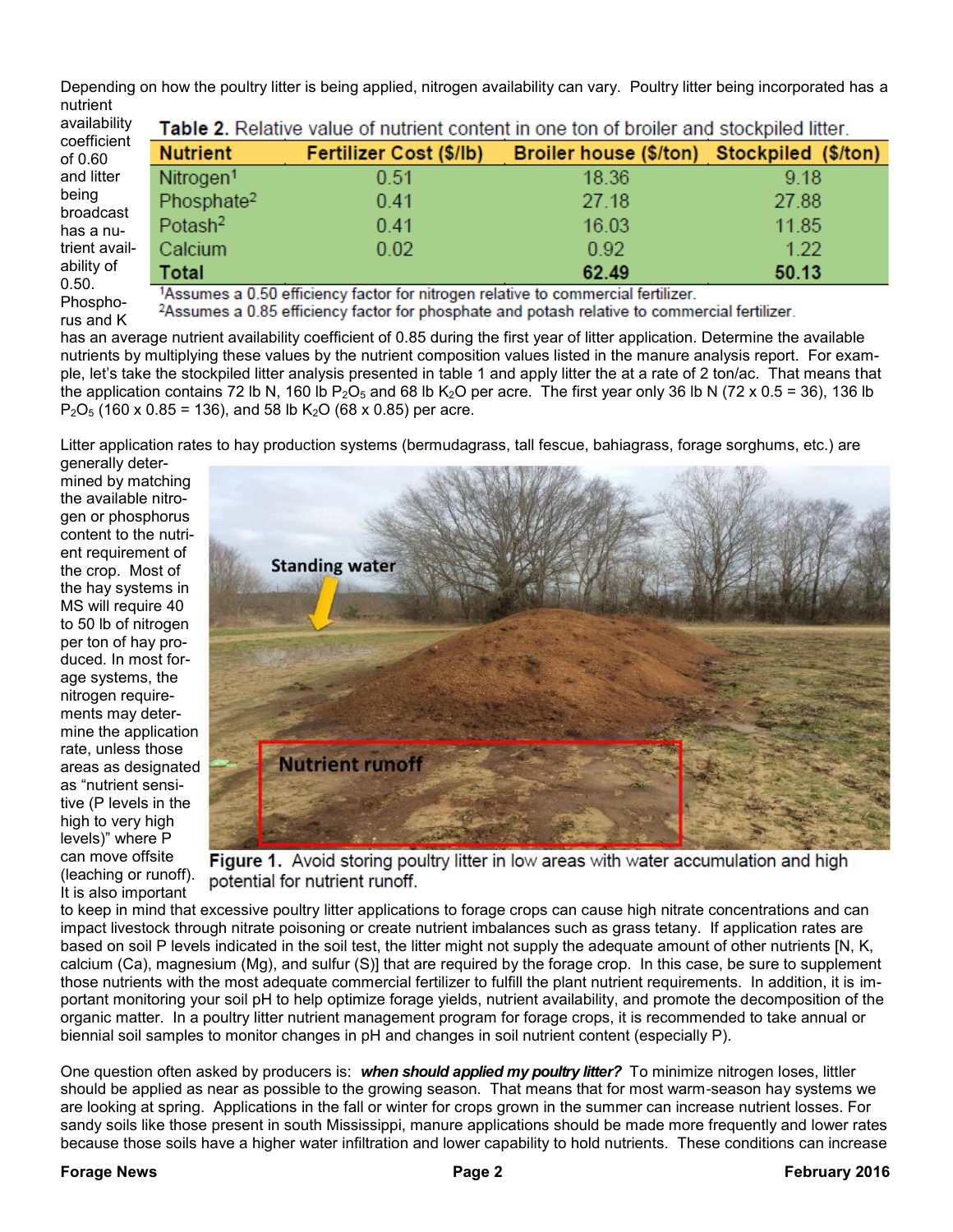Depending on how the poultry litter is being applied, nitrogen availability can vary. Poultry litter being incorporated has a nutrient

| availability  | <b>Table 2.</b> Re        |
|---------------|---------------------------|
| coefficient   | <b>Nutrient</b>           |
| of 0.60       |                           |
| and litter    | Nitrogen <sup>1</sup>     |
| being         | Phosphate <sup>2</sup>    |
| broadcast     |                           |
| has a nu-     | Potash <sup>2</sup>       |
| trient avail- | Calcium                   |
| ability of    | Total                     |
| 0.50.         |                           |
| Phospho-      | 1Assumes a 0.             |
|               | <sup>2</sup> Assumes a 0. |
| $rus$ and $K$ |                           |

Table 2. Relative value of nutrient content in one ton of broiler and stockpiled litter.

Broiler house (\$/ton)

18.36

27.18

16.03

0.92

62.49

Stockpiled (\$/ton)

9.18

27.88

11.85

 $1.22$ 

50.13

Assumes a 0.50 efficiency factor for nitrogen relative to commercial fertilizer.

Fertilizer Cost (\$/lb)

0.51

 $0.41$ 

 $0.41$ 

 $0.02$ 

Assumes a 0.85 efficiency factor for phosphate and potash relative to commercial fertilizer.

has an average nutrient availability coefficient of 0.85 during the first year of litter application. Determine the available nutrients by multiplying these values by the nutrient composition values listed in the manure analysis report. For example, let's take the stockpiled litter analysis presented in table 1 and apply litter the at a rate of 2 ton/ac. That means that the application contains 72 lb N, 160 lb P<sub>2</sub>O<sub>5</sub> and 68 lb K<sub>2</sub>O per acre. The first year only 36 lb N (72 x 0.5 = 36), 136 lb  $P_2O_5$  (160 x 0.85 = 136), and 58 lb K<sub>2</sub>O (68 x 0.85) per acre.

Litter application rates to hay production systems (bermudagrass, tall fescue, bahiagrass, forage sorghums, etc.) are

generally determined by matching the available nitrogen or phosphorus content to the nutrient requirement of the crop. Most of the hay systems in MS will require 40 to 50 lb of nitrogen per ton of hay produced. In most forage systems, the nitrogen requirements may determine the application rate, unless those areas as designated as "nutrient sensitive (P levels in the high to very high levels)" where P can move offsite (leaching or runoff). It is also important



Figure 1. Avoid storing poultry litter in low areas with water accumulation and high potential for nutrient runoff.

to keep in mind that excessive poultry litter applications to forage crops can cause high nitrate concentrations and can impact livestock through nitrate poisoning or create nutrient imbalances such as grass tetany. If application rates are based on soil P levels indicated in the soil test, the litter might not supply the adequate amount of other nutrients [N, K, calcium (Ca), magnesium (Mg), and sulfur (S)] that are required by the forage crop. In this case, be sure to supplement those nutrients with the most adequate commercial fertilizer to fulfill the plant nutrient requirements. In addition, it is important monitoring your soil pH to help optimize forage yields, nutrient availability, and promote the decomposition of the organic matter. In a poultry litter nutrient management program for forage crops, it is recommended to take annual or biennial soil samples to monitor changes in pH and changes in soil nutrient content (especially P).

One question often asked by producers is: *when should applied my poultry litter?* To minimize nitrogen loses, littler should be applied as near as possible to the growing season. That means that for most warm-season hay systems we are looking at spring. Applications in the fall or winter for crops grown in the summer can increase nutrient losses. For sandy soils like those present in south Mississippi, manure applications should be made more frequently and lower rates because those soils have a higher water infiltration and lower capability to hold nutrients. These conditions can increase